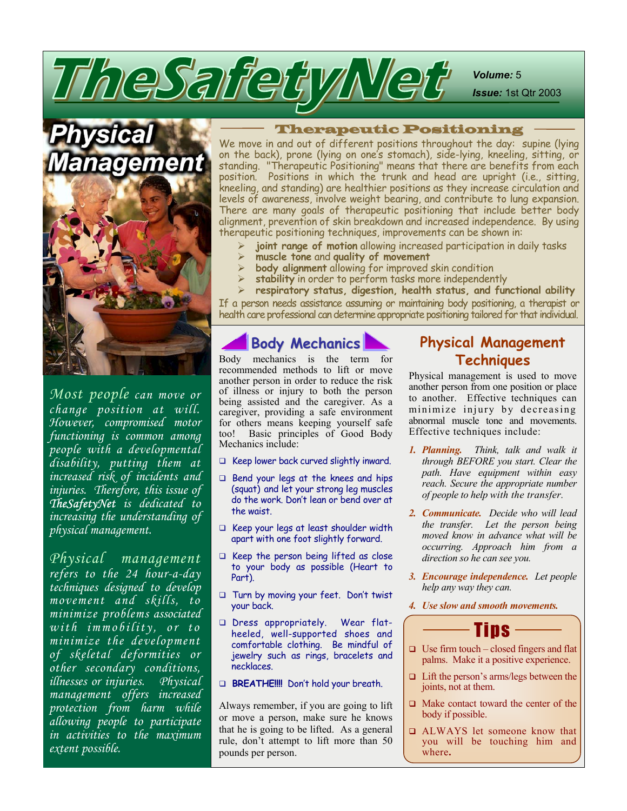*Volume:* 5

*Issue:* 1st Qtr 2003

er

*Most people can move or change position at will. However, compromised motor functioning is common among people with a developmental disability, putting them at increased risk of incidents and injuries. Therefore, this issue of TheSafetyNet is dedicated to increasing the understanding of physical management.* 

*Physical management refers to the 24 hour-a-day techniques designed to develop movement and skills, to minimize problems associated with immobility, or to minimize the development of skeletal deformities or other secondary conditions, illnesses or injuries. Physical management offers increased protection from harm while allowing people to participate in activities to the maximum extent possible.* 

#### Therapeutic Positioning

We move in and out of different positions throughout the day: supine (lying on the back), prone (lying on one's stomach), side-lying, kneeling, sitting, or standing. "Therapeutic Positioning" means that there are benefits from each position. Positions in which the trunk and head are upright (i.e., sitting, kneeling, and standing) are healthier positions as they increase circulation and levels of awareness, involve weight bearing, and contribute to lung expansion. There are many goals of therapeutic positioning that include better body alignment, prevention of skin breakdown and increased independence. By using therapeutic positioning techniques, improvements can be shown in:

- **joint range of motion** allowing increased participation in daily tasks
- ¾ **muscle tone** and **quality of movement**
- **body alignment** allowing for improved skin condition
- stability in order to perform tasks more independently
- ¾ **respiratory status, digestion, health status, and functional ability**

If a person needs assistance assuming or maintaining body positioning, a therapist or health care professional can determine appropriate positioning tailored for that individual.

### **Body Mechanics**

TheSarfety Net

Body mechanics is the term for recommended methods to lift or move another person in order to reduce the risk of illness or injury to both the person being assisted and the caregiver. As a caregiver, providing a safe environment for others means keeping yourself safe too! Basic principles of Good Body Mechanics include:

- $\Box$  Keep lower back curved slightly inward.
- $\Box$  Bend your legs at the knees and hips (squat) and let your strong leg muscles do the work. Don't lean or bend over at the waist.
- Keep your legs at least shoulder width apart with one foot slightly forward.
- $\Box$  Keep the person being lifted as close to your body as possible (Heart to Part).
- Turn by moving your feet. Don't twist your back.
- Dress appropriately. Wear flatheeled, well-supported shoes and comfortable clothing. Be mindful of jewelry such as rings, bracelets and necklaces.
- **BREATHE!!!!** Don't hold your breath.

Always remember, if you are going to lift or move a person, make sure he knows that he is going to be lifted. As a general rule, don't attempt to lift more than 50 pounds per person.

### **Physical Management Techniques**

Physical management is used to move another person from one position or place to another. Effective techniques can minimize injury by decreasing abnormal muscle tone and movements. Effective techniques include:

- *1. Planning. Think, talk and walk it through BEFORE you start. Clear the path. Have equipment within easy reach. Secure the appropriate number of people to help with the transfer.*
- *2 . Communicate. Decide who will lead the transfer. Let the person being moved know in advance what will be occurring. Approach him from a direction so he can see you.*
- *3 . Encourage independence. Let people help any way they can.*
- *4 . Use slow and smooth movements.*



- $\Box$  Use firm touch closed fingers and flat palms. Make it a positive experience.
- $\Box$  Lift the person's arms/legs between the joints, not at them.
- $\Box$  Make contact toward the center of the body if possible.
- ALWAYS let someone know that you will be touching him and where**.**